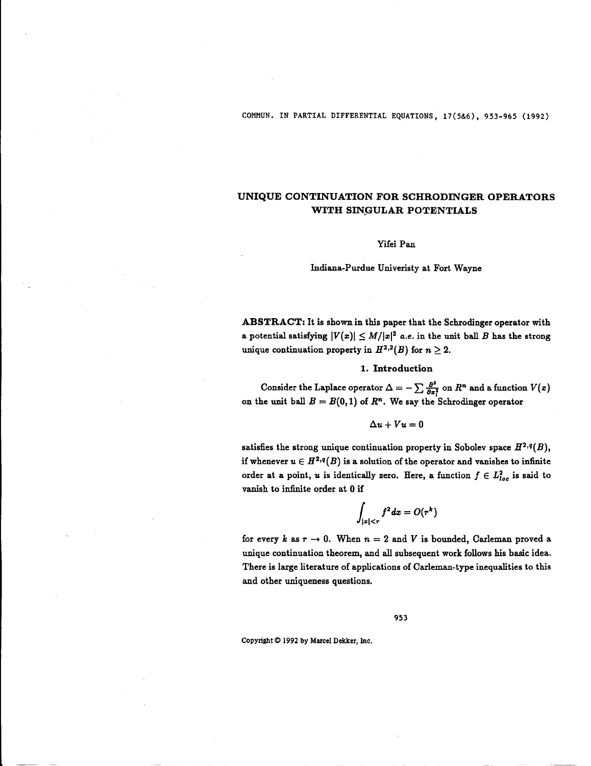COMMUN. IN PARTIAL DIFFERENTIAL EQUATIONS, 17(5&6), 953-965 (1992)

# UNIQUE CONTINUATION FOR SCHRODINGER OPERATORS WITH SINGULAR POTENTIALS

#### Yifei Pan

Indiana-Purdue Univeristy at Fort Wayne

ABSTRACT: It is shown in this paper that the Schrodinger operator with a potential satisfying  $|V(x)| \leq M/|x|^2$  a.e. in the unit ball B has the strong unique continuation property in  $H^{2,2}(B)$  for  $n \geq 2$ .

### 1. Introduction

Consider the Laplace operator  $\Delta = -\sum \frac{\partial^2}{\partial x_i^2}$  on  $R^n$  and a function  $V(x)$  on the unit ball  $B = B(0,1)$  of  $R^n$ . We say the Schrodinger operator

$$
\Delta u + Vu=0
$$

satisfies the strong unique continuation property in Sobolev space  $H^{2,q}(B)$ , if whenever  $u \in H^{2,q}(B)$  is a solution of the operator and vanishes to infinite order at a point, u is identically zero. Here, a function  $f \in L^2_{loc}$  is said to vanish to infinite order at 0 if

$$
\int_{|x|
$$

for every k as  $r \to 0$ . When  $n = 2$  and V is bounded, Carleman proved a unique continuation theorem, and all subsequent work follows his basic idea. There is large literature of applications of Carleman-type inequalities to this and other uniqueness questions.

953

Copyright © <sup>1992</sup> by Marcel Dekker, Inc .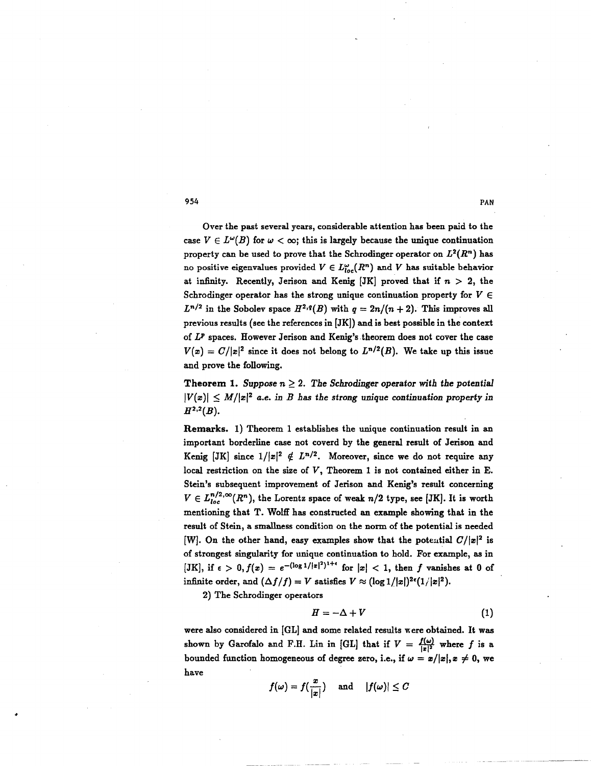Over the past several years, considerable attention has been paid to the case  $V \in L^{\omega}(B)$  for  $\omega < \infty$ ; this is largely because the unique continuation property can be used to prove that the Schrodinger operator on  $L^2(R^n)$  has no positive eigenvalues provided  $V \in L^{\omega}_{loc}(R^n)$  and V has suitable behavior at infinity. Recently, Jerison and Kenig [JK] proved that if  $n > 2$ , the Schrodinger operator has the strong unique continuation property for  $V \in$  $L^{n/2}$  in the Sobolev space  $H^{2,q}(B)$  with  $q = 2n/(n+2)$ . This improves all previous results (see the references in [JK]) and is best possible in the context of  $L^p$  spaces. However Jerison and Kenig's theorem does not cover the case  $V(x) = C/|x|^2$  since it does not belong to  $L^{n/2}(B)$ . We take up this issue and prove the following.

Theorem 1. Suppose  $n \geq 2$ . The Schrodinger operator with the potential  $|V(x)| \leq M/|x|^2$  a.e. in B has the strong unique continuation property in  $H^{2,2}(B)$ .

Remarks. 1) Theorem <sup>1</sup> establishes the unique continuation result in an important borderline case not coverd by the general result of Jerison and Kenig [JK] since  $1/|x|^2 \notin L^{n/2}$ . Moreover, since we do not require any local restriction on the size of  $V$ , Theorem 1 is not contained either in E. Stein's subsequent improvement of Jerison and Kenig's result concerning  $V \in L_{loc}^{n/2,\infty}(R^n)$ , the Lorentz space of weak  $n/2$  type, see [JK]. It is worth mentioning that T. Wolff has constructed an example showing that in the result of Stein, a smallness condition on the norm of the potential is needed [W]. On the other hand, easy examples show that the potential  $C/|x|^2$  is of strongest singularity for unique continuation to hold. For example, as in [JK], if  $\epsilon > 0$ ,  $f(x) = e^{-(\log 1/|x|^2)^{1+\epsilon}}$  for  $|x| < 1$ , then f vanishes at 0 of infinite order, and  $(\Delta f/f) = V$  satisfies  $V \approx (\log 1/|x|)^{2\epsilon}(1/|x|^2)$ .

2) The Schrodinger operators

$$
H = -\Delta + V \tag{1}
$$

were also considered in [GL] and some related results were obtained. It was shown by Garofalo and F.H. Lin in [GL] that if  $V = \frac{f(\omega)}{|z|^2}$  where f is a bounded function homogeneous of degree zero, i.e., if  $\omega = x/|x|, x \neq 0$ , we have

$$
f(\omega)=f(\frac{x}{|x|}) \quad \text{ and } \quad |f(\omega)|\leq C
$$

954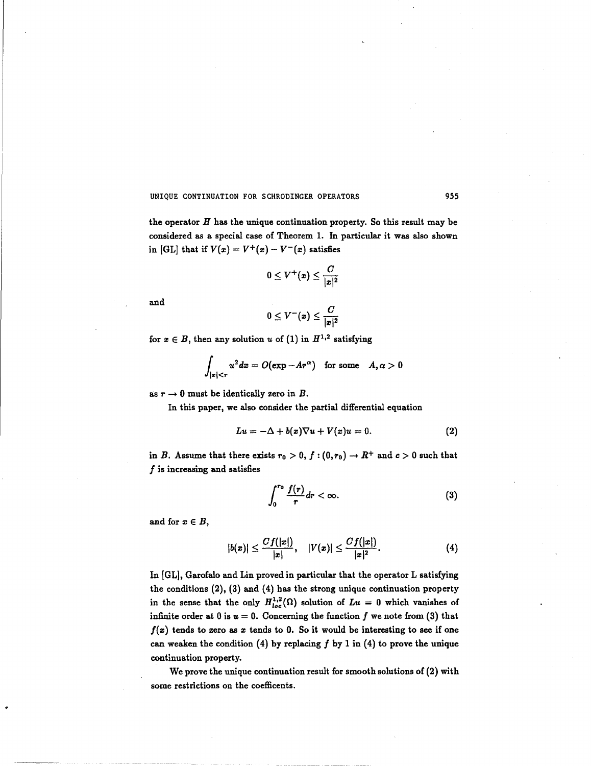the operator  $H$  has the unique continuation property. So this result may be considered as a special case of Theorem 1. In particular it was also shown in [GL] that if  $V(x) = V^+(x) - V^-(x)$  satisfies

$$
0\leq V^+(x)\leq \frac{C}{|x|^2}
$$

and

$$
0\leq V^-(x)\leq \frac{C}{|x|^2}
$$

for  $x \in B$ , then any solution u of (1) in  $H^{1,2}$  satisfying

$$
\int_{|x|< r} u^2 dx = O(\exp - Ar^{\alpha}) \quad \text{for some} \quad A, \alpha > 0
$$

as  $r \to 0$  must be identically zero in B.

In this paper, we also consider the partial differential equation

$$
Lu = -\Delta + b(x)\nabla u + V(x)u = 0.
$$
 (2)

in B. Assume that there exists  $r_0 > 0$ ,  $f : (0, r_0) \to R^+$  and  $c > 0$  such that  $f$  is increasing and satisfies

$$
\int_0^{r_0} \frac{f(r)}{r} dr < \infty.
$$
 (3)

and for  $x \in B$ ,

$$
|b(x)| \leq \frac{Cf(|x|)}{|x|}, \quad |V(x)| \leq \frac{Cf(|x|)}{|x|^2}.
$$
 (4)

In [GL], Garofalo and Lin proved in particular that the operator L satisfying the conditions (2), (3) and (4) has the strong unique continuation property in the sense that the only  $H_{loc}^{1,2}(\Omega)$  solution of  $Lu = 0$  which vanishes of infinite order at 0 is  $u = 0$ . Concerning the function f we note from (3) that  $f(x)$  tends to zero as x tends to 0. So it would be interesting to see if one can weaken the condition  $(4)$  by replacing f by 1 in  $(4)$  to prove the unique continuation property.

We prove the unique continuation result for smooth solutions of (2) with some restrictions on the coefficents .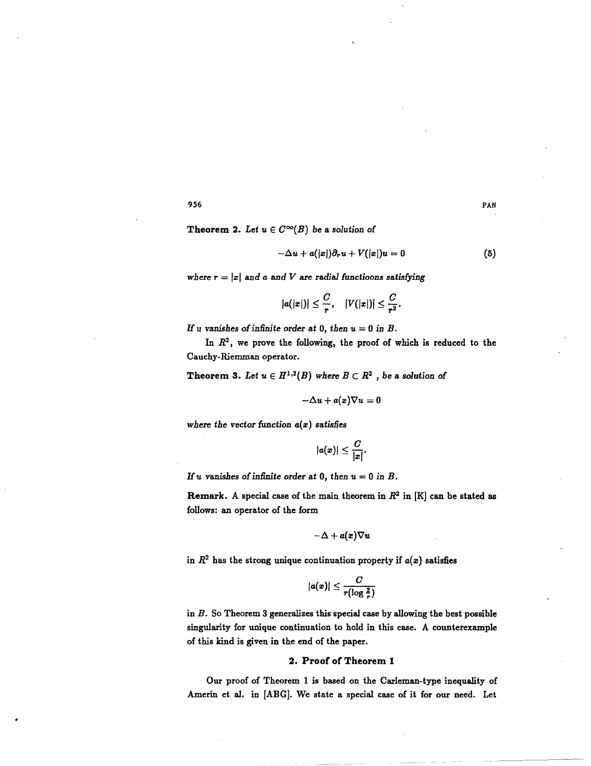Theorem 2. Let  $u \in C^{\infty}(B)$  be a solution of

$$
-\Delta u + a(|x|)\partial_r u + V(|x|)u = 0 \qquad (5)
$$

where  $r = |x|$  and a and V are radial functioons satisfying

$$
|a(|x|)|\leq \frac{C}{r}, \quad |V(|x|)|\leq \frac{C}{r^2}.
$$

If u vanishes of infinite order at 0, then  $u = 0$  in B.

In  $R^2$ , we prove the following, the proof of which is reduced to the Cauchy-Riemman operator.

Theorem 3. Let  $u \in H^{1,2}(B)$  where  $B \subset R^2$ , be a solution of

$$
-\Delta u+a(x)\nabla u=0
$$

where the vector function  $a(x)$  satisfies

$$
|a(x)|\leq \frac{C}{|x|}.
$$

If u vanishes of infinite order at 0, then  $u = 0$  in B.

Remark. A special case of the main theorem in  $R^2$  in [K] can be stated as follows: an operator of the form

$$
-\Delta + a(x)\nabla u
$$

in  $R^2$  has the strong unique continuation property if  $a(x)$  satisfies

$$
|a(x)| \leq \frac{C}{r(\log \frac{2}{r})}
$$

in  $B$ . So Theorem 3 generalizes this special case by allowing the best possible singularity for unique continuation to hold in this case. A counterexample of this kind is given in the end of the paper.

## 2. Proof of Theorem <sup>1</sup>

Our proof of Theorem 1 is based on the Carleman-type inequality of Amerin et al. in [ABG]. We state a special case of it for our need. Let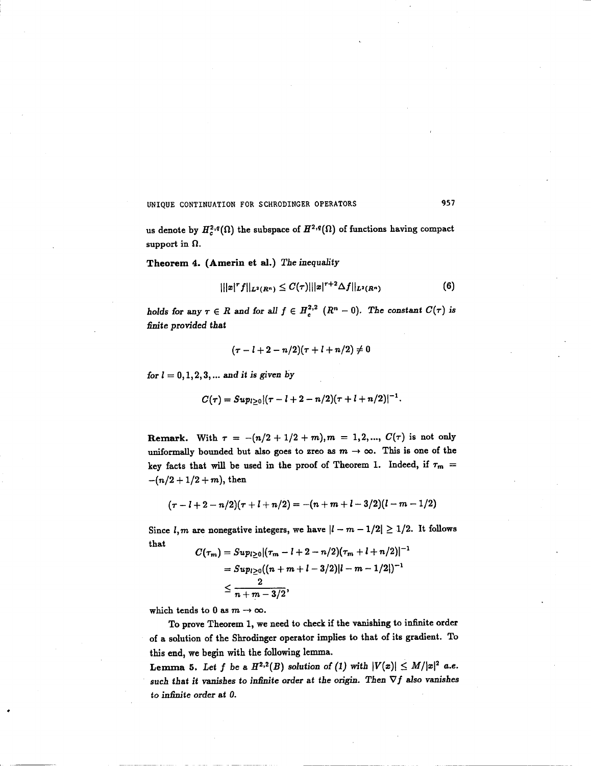us denote by  $H_c^{2,q}(\Omega)$  the subspace of  $H^{2,q}(\Omega)$  of functions having compact support in  $\Omega$ .

Theorem 4. (Amerin et al.) The inequality

$$
|||x|^{\tau}f||_{L^{2}(R^{n})}\leq C(\tau)|||x|^{\tau+2}\Delta f||_{L^{2}(R^{n})}
$$
\n(6)

holds for any  $\tau \in R$  and for all  $f \in H_c^{2,2}$   $(R^n - 0)$ . The constant  $C(\tau)$  is finite provided that

$$
(\tau - l + 2 - n/2)(\tau + l + n/2) \neq 0
$$

for  $l = 0, 1, 2, 3, ...$  and it is given by

$$
C(\tau)=Sup_{l\geq 0}\frac{|(\tau-l+2-n/2)(\tau+l+n/2)|^{-1}}{.
$$

Remark. With  $\tau = -(n/2 + 1/2 + m), m = 1, 2, ..., C(\tau)$  is not only uniformally bounded but also goes to zreo as  $m \to \infty$ . This is one of the key facts that will be used in the proof of Theorem 1. Indeed, if  $\tau_m =$  $-(n/2+1/2+m)$ , then

$$
(\tau - l + 2 - n/2)(\tau + l + n/2) = -(n + m + l - 3/2)(l - m - 1/2)
$$

Since  $l, m$  are nonegative integers, we have  $|l - m - 1/2| \ge 1/2$ . It follows that

$$
C(\tau_m) = Sup_{l \geq 0} |(\tau_m - l + 2 - n/2)(\tau_m + l + n/2)|^{-1}
$$
  
=  $Sup_{l \geq 0} ((n + m + l - 3/2) | l - m - 1/2|)^{-1}$   
 $\leq \frac{2}{n + m - 3/2},$ 

which tends to 0 as  $m \to \infty$ .

To prove Theorem 1, we need to check if the vanishing to infinite order of a solution of the Shrodinger operator implies to that of its gradient. To this end, we begin with the following lemma.

**Lemma 5.** Let f be a  $H^{2,2}(B)$  solution of (1) with  $|V(x)| \le M/|x|^2$  a.e. such that it vanishes to infinite order at the origin. Then  $\nabla f$  also vanishes to infinite order at 0.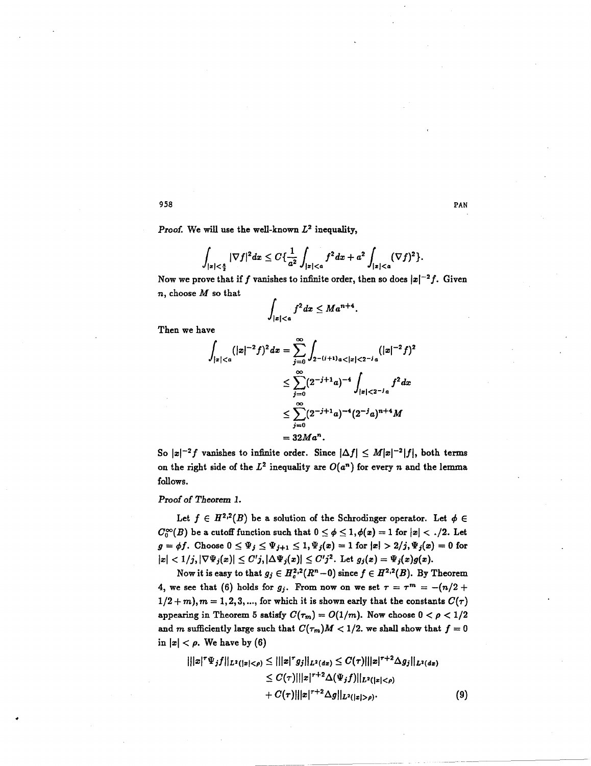Proof. We will use the well-known  $L^2$  inequality,

958  
\nProof. We will use the well-known 
$$
L^2
$$
 inequality,  
\n
$$
\int_{|x| < \frac{a}{2}} |\nabla f|^2 dx \leq C \{\frac{1}{a^2} \int_{|x| < a} f^2 dx + a^2 \int_{|x| < a} (\nabla f)^2\}.
$$
\nNow we prove that if f vanishes to infinite order, then so does  $|x|$ –  
\n*n*, choose *M* so that\n
$$
\int_{|x| < a} f^2 dx \leq Ma^{n+4}.
$$

Now we prove that if  $f$  vanishes to infinite order, then so does  $|x|^{-2}f$ . Given  $n$ , choose  $M$  so that

$$
\int_{|x|< a} f^2 dx \leq Ma^{n+4}.
$$

Then we have

$$
\int_{|z|\n
$$
\leq \sum_{j=0}^{\infty} (2^{-j+1}a)^{-4} \int_{|x| < 2^{-j}a} f^2 dx
$$
\n
$$
\leq \sum_{j=0}^{\infty} (2^{-j+1}a)^{-4} (2^{-j}a)^{n+4} M
$$
\n
$$
= 32Ma^n.
$$
$$

So  $|x|^{-2}f$  vanishes to infinite order. Since  $|\Delta f| \leq M|x|^{-2}|f|$ , both terms on the right side of the  $L^2$  inequality are  $O(a^n)$  for every n and the lemma follows.

Proof of Theorem 1.

Let  $f \in H^{2,2}(B)$  be a solution of the Schrodinger operator. Let  $\phi \in$  $C_0^{\infty}(B)$  be a cutoff function such that  $0 \le \phi \le 1, \phi(x) = 1$  for  $|x| < 0.2$ . Let  $g = \phi f$ . Choose  $0 \leq \Psi_j \leq \Psi_{j+1} \leq 1, \Psi_j(x) = 1$  for  $|x| > 2/j, \Psi_j(x) = 0$  for  $|x| < 1/j, |\nabla \Psi_j(x)| \le C'j, |\Delta \Psi_j(x)| \le C'j^2$ . Let  $g_j(x) = \Psi_j(x)g(x)$ .

Now it is easy to that  $g_j \in H_c^{2,2}(R^n-0)$  since  $f \in H^{2,2}(B)$ . By Theorem 4, we see that (6) holds for  $g_j$ . From now on we set  $r = \tau^m = -(n/2 +$  $1/2 + m$ ,  $m = 1, 2, 3, ...$ , for which it is shown early that the constants  $C(\tau)$ appearing in Theorem 5 satisfy  $C(\tau_m) = O(1/m)$ . Now choose  $0 < \rho < 1/2$ and m sufficiently large such that  $C(\tau_m)M < 1/2$ . we shall show that  $f = 0$ in  $|x| < \rho$ . We have by (6)

$$
|||x|^{\tau} \Psi_j f||_{L^2(|z|<\rho)} \leq |||x|^{\tau} g_j||_{L^2(dx)} \leq C(\tau)|||x|^{\tau+2} \Delta g_j||_{L^2(dx)} \leq C(\tau)|||x|^{\tau+2} \Delta(\Psi_j f)||_{L^2(|z|<\rho)} + C(\tau)|||x|^{\tau+2} \Delta g||_{L^2(|z|>\rho)}.
$$
\n(9)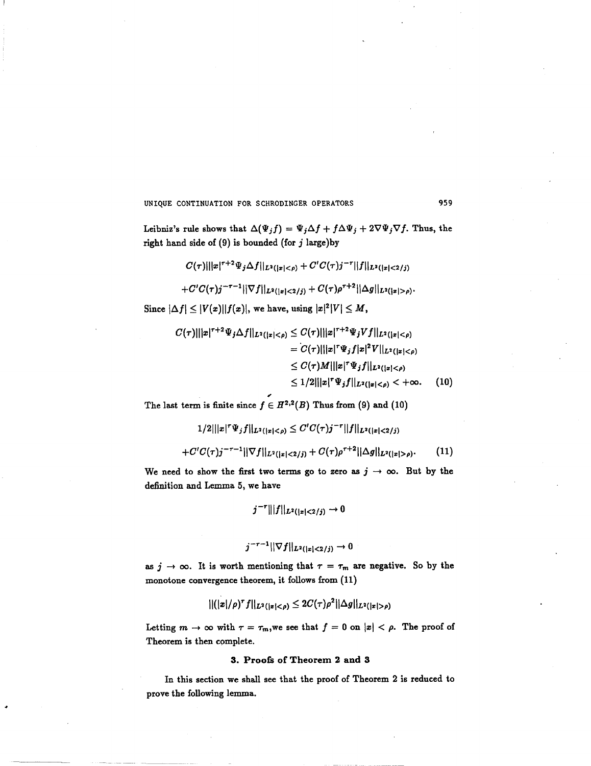Leibniz's rule shows that  $\Delta(\Psi_j f) = \Psi_j \Delta f + f \Delta \Psi_j + 2 \nabla \Psi_j \nabla f$ . Thus, the right hand side of  $(9)$  is bounded (for j large)by

- $C(\tau) |||x|^{\tau+2} \Psi_j \Delta f||_{L^2(|x|<\rho)} + C' C(\tau) j^{-\tau} ||f||_{L^2(|x|<2/j)}$
- $+C'C(\tau)j^{-\tau-1}||\nabla f||_{L^2(|x|<2/j)}+C(\tau)\rho^{\tau+2}||\Delta g||_{L^2(|x|>\rho)}$ .

Since  $|\Delta f| \leq |V(x)||f(x)|$ , we have, using  $|x|^2|V| \leq M$ ,

$$
C(\tau)|||x|^{\tau+2}\Psi_j \Delta f||_{L^2(|x|<\rho)} \leq C(\tau)|||x|^{\tau+2}\Psi_j Vf||_{L^2(|x|<\rho)}
$$
  
= 
$$
C(\tau)|||x|^{\tau}\Psi_j f|x|^2 V||_{L^2(|x|<\rho)}
$$
  

$$
\leq C(\tau)M|||x|^{\tau}\Psi_j f||_{L^2(|x|<\rho)}
$$
  

$$
\leq 1/2|||x|^{\tau}\Psi_j f||_{L^2(|x|<\rho)} < +\infty.
$$
 (10)

The last term is finite since  $f \in H^{2,2}(B)$  Thus from (9) and (10)

$$
1/2|||x|^r\Psi_jf||_{L^2(|x|<\rho)} \leq C'C(\tau)j^{-r}||f||_{L^2(|x|<2/j)}
$$
  
 
$$
C(C) \geq T^{-1}||T||_{L^2(|x|<2)} \leq C(1) \cdot T^{+2}||A||_{L^2(|x|<2)}
$$

$$
+C'C(\tau)j^{-\tau-1}||\nabla f||_{L^2(|x|<2/j)}+C(\tau)\rho^{\tau+2}||\Delta g||_{L^2(|x|>\rho)}.\qquad(11)
$$

We need to show the first two terms go to zero as  $j \to \infty$ . But by the definition and Lemma 5, we have

$$
j^{-r}|||f||_{L^2(|x|<2/j)}\to 0
$$

$$
j^{-\tau-1}||\nabla f||_{L^2(|x|<2/j)} \to 0
$$

as  $j \to \infty$ . It is worth mentioning that  $\tau = \tau_m$  are negative. So by the monotone convergence theorem, it follows from (11)

$$
||(|x|/\rho)^{\tau}f||_{L^{2}(|x|<\rho)} \leq 2C(\tau)\rho^{2}||\Delta g||_{L^{2}(|x|>\rho)}
$$

Letting  $m \to \infty$  with  $\tau = \tau_m$ , we see that  $f = 0$  on  $|x| < \rho$ . The proof of Theorem is then complete.

### 3. Proofs of Theorem 2 and 3

In this section we shall see that the proof of Theorem 2 is reduced to prove the following lemma.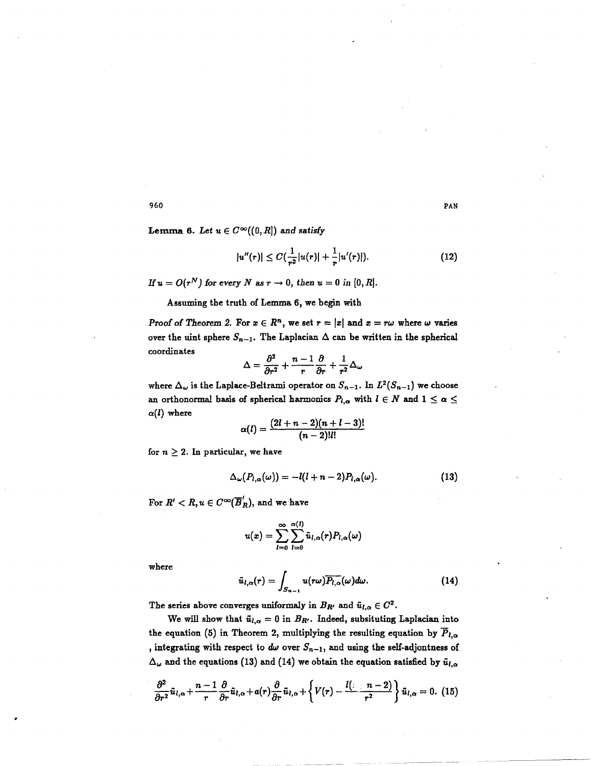Lemma 6. Let  $u \in C^{\infty}((0, R])$  and satisfy

$$
|u''(r)| \leq C(\frac{1}{r^2}|u(r)| + \frac{1}{r}|u'(r)|). \tag{12}
$$

If  $u = O(r^N)$  for every N as  $r \to 0$ , then  $u = 0$  in [0, R].

Assuming the truth of Lemma 6, we begin with

Proof of Theorem 2. For  $x \in \mathbb{R}^n$ , we set  $r = |x|$  and  $x = r\omega$  where  $\omega$  varies over the uint sphere  $S_{n-1}$ . The Laplacian  $\Delta$  can be written in the spherical coordinates

$$
\Delta = \frac{\partial^2}{\partial r^2} + \frac{n-1}{r} \frac{\partial}{\partial r} + \frac{1}{r^2} \Delta_\omega
$$

 $\Delta = \frac{\delta}{\partial r^2} + \frac{\delta}{r} + \frac{\delta}{r^2} + \frac{\delta}{r^2} \Delta_\omega$ <br>where  $\Delta_\omega$  is the Laplace-Beltrami operator on  $S_{n-1}$ . In  $L^2(S_{n-1})$  we choose<br>an orthonormal basis of spherical harmonics  $P_{l,\alpha}$  with  $l \in N$  and  $1 \leq \alpha \leq$  $\alpha(l)$  where

$$
\alpha(l) = \frac{(2l+n-2)(n+l-3)!}{(n-2)!l!}
$$

for  $n \geq 2$ . In particular, we have

$$
\Delta_{\omega}(P_{l,\alpha}(\omega))=-l(l+n-2)P_{l,\alpha}(\omega). \hspace{1cm} (13)
$$

For  $R' < R$ ,  $u \in C^{\infty}(\overline{B}_R')$ , and we have

$$
u(x)=\sum_{l=0}^{\infty}\sum_{l=0}^{\alpha(l)}\tilde{u}_{l,\alpha}(r)P_{l,\alpha}(\omega)
$$

where

$$
\tilde{u}_{l,\alpha}(r)=\int_{S_{n-1}}u(r\omega)\overline{P_{l,\alpha}}(\omega)d\omega.
$$
 (14)

The series above converges uniformaly in  $B_{R'}$  and  $\tilde{u}_{l,\alpha} \in C^2$ .

We will show that  $\tilde{u}_{l,\alpha} = 0$  in  $B_{R'}$ . Indeed, subsituting Laplacian into the equation (5) in Theorem 2, multiplying the resulting equation by  $\overline{P}_{l,\alpha}$ , integrating with respect to  $d\omega$  over  $S_{n-1}$ , and using the self-adjontness of  $\Delta_{\omega}$  and the equations (13) and (14) we obtain the equation satisfied by  $\tilde{u}_{l,\alpha}$ 

$$
\frac{\partial^2}{\partial r^2}\tilde{u}_{l,\alpha}+\frac{n-1}{r}\frac{\partial}{\partial r}\tilde{u}_{l,\alpha}+a(r)\frac{\partial}{\partial r}\tilde{u}_{l,\alpha}+\left\{V(r)-\frac{l(\cdot\mid n-2)}{r^2}\right\}\tilde{u}_{l,\alpha}=0.
$$
 (15)

960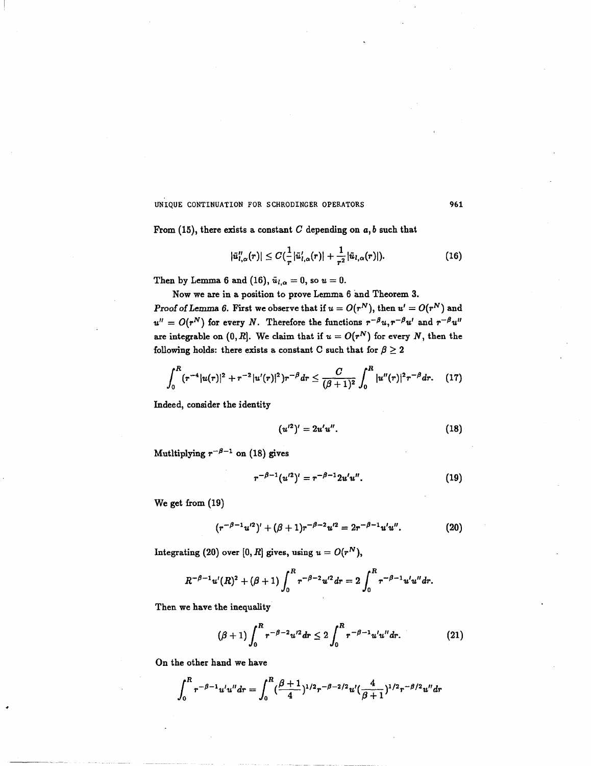From (15), there exists a constant  $C$  depending on  $a, b$  such that

$$
|\tilde{u}_{l,\alpha}''(r)| \leq C(\frac{1}{r}|\tilde{u}_{l,\alpha}'(r)| + \frac{1}{r^2}|\tilde{u}_{l,\alpha}(r)|). \tag{16}
$$

Then by Lemma 6 and (16),  $\tilde{u}_{l,\alpha} = 0$ , so  $u = 0$ .

Now we are in <sup>a</sup> position to prove Lemma <sup>6</sup> and Theorem 3.

Proof of Lemma 6. First we observe that if  $u = O(r^N)$ , then  $u' = O(r^N)$  and  $u'' = O(r^N)$  for every N. Therefore the functions  $r^{-\beta}u, r^{-\beta}u'$  and  $r^{-\beta}u''$ are integrable on  $(0, R]$ . We claim that if  $u = O(r^N)$  for every N, then the following holds: there exists a constant C such that for  $\beta \geq 2$ 

$$
\int_0^R (r^{-4}|u(r)|^2 + r^{-2}|u'(r)|^2) r^{-\beta} dr \leq \frac{C}{(\beta+1)^2} \int_0^R |u''(r)|^2 r^{-\beta} dr. \quad (17)
$$

Indeed, consider the identity

$$
(u'^2)' = 2u'u''.
$$
 (18)

Mutltiplying  $r^{-\beta-1}$  on (18) gives

$$
r^{-\beta-1}(u^{\prime 2})' = r^{-\beta-1} 2u' u''.
$$
 (19)

We get from (19)

$$
(r^{-\beta-1}u^{\prime 2})' + (\beta+1)r^{-\beta-2}u^{\prime 2} = 2r^{-\beta-1}u'u''.
$$
 (20)

Integrating (20) over [0, R] gives, using  $u = O(r^N)$ ,

$$
R^{-\beta-1}u'(R)^{2}+(\beta+1)\int_{0}^{R}r^{-\beta-2}u'^{2}dr=2\int_{0}^{R}r^{-\beta-1}u'u''dr.
$$

Then we have the inequality

$$
(\beta+1)\int_0^R r^{-\beta-2}u^{2}dr \leq 2\int_0^R r^{-\beta-1}u'u''dr. \qquad (21)
$$

On the other hand we have

$$
\int_0^R r^{-\beta-1} u' u'' dr = \int_0^R (\frac{\beta+1}{4})^{1/2} r^{-\beta-2/2} u' (\frac{4}{\beta+1})^{1/2} r^{-\beta/2} u'' dr
$$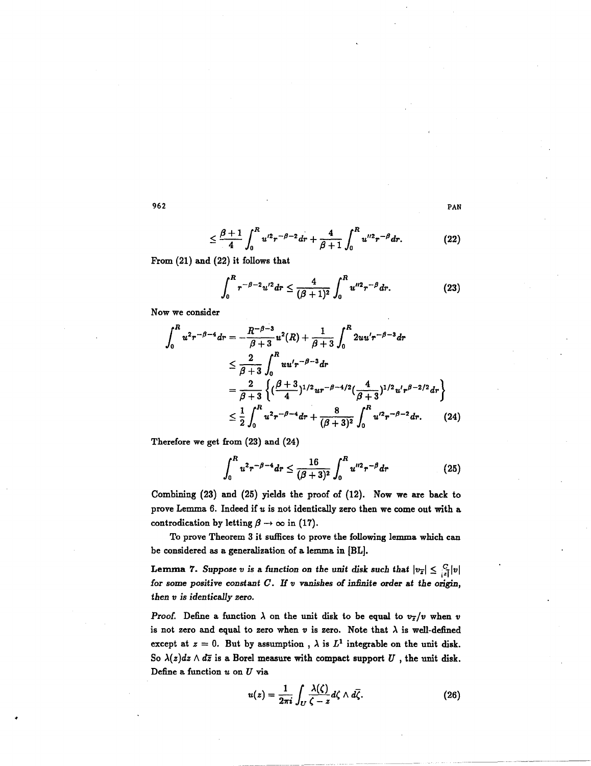$$
R_{p-2,-2} = \frac{4}{4} \int_{1}^{R} r^{2}-8
$$

$$
\leq \frac{\beta+1}{4}\int_0^R u^{\prime 2}r^{-\beta-2}dr + \frac{4}{\beta+1}\int_0^R u^{\prime\prime 2}r^{-\beta}dr. \tag{22}
$$

From (21) and (22) it follows that

$$
\int_0^R r^{-\beta-2} u'^2 dr \leq \frac{4}{(\beta+1)^2} \int_0^R u''^2 r^{-\beta} dr.
$$
 (23)

Now we consider

$$
\int_0^R u^2 r^{-\beta - 4} dr = -\frac{R^{-\beta - 3}}{\beta + 3} u^2(R) + \frac{1}{\beta + 3} \int_0^R 2u u' r^{-\beta - 3} dr
$$
  
\n
$$
\leq \frac{2}{\beta + 3} \int_0^R u u' r^{-\beta - 3} dr
$$
  
\n
$$
= \frac{2}{\beta + 3} \left\{ (\frac{\beta + 3}{4})^{1/2} u r^{-\beta - 4/2} (\frac{4}{\beta + 3})^{1/2} u' r^{\beta - 2/2} dr \right\}
$$
  
\n
$$
\leq \frac{1}{2} \int_0^R u^2 r^{-\beta - 4} dr + \frac{8}{(\beta + 3)^2} \int_0^R u'^2 r^{-\beta - 2} dr. \tag{24}
$$

Therefore we get from (23) and (24)

$$
\int_0^R u^2 r^{-\beta-4} dr \leq \frac{16}{(\beta+3)^2} \int_0^R u''^2 r^{-\beta} dr \tag{25}
$$

Combining (23) and (25) yields the proof of (12). Now we are back to prove Lemma 6. Indeed if  $u$  is not identically zero then we come out with a controdication by letting  $\beta \rightarrow \infty$  in (17).

To prove Theorem 3 it suffices to prove the following lemma which can be considered as a generalization of a lemma in [BL].

Lemma 7. Suppose v is a function on the unit disk such that  $|v_{\overline{x}}| \leq \frac{C}{|x|}|v|$ for some positive constant  $C$ . If  $v$  vanishes of infinite order at the origin, then v is identically zero.

Proof. Define a function  $\lambda$  on the unit disk to be equal to  $v_{\overline{z}}/v$  when v is not zero and equal to zero when  $v$  is zero. Note that  $\lambda$  is well-defined except at  $z = 0$ . But by assumption,  $\lambda$  is  $L^1$  integrable on the unit disk. So  $\lambda(z)dz \wedge d\overline{z}$  is a Borel measure with compact support  $U$ , the unit disk. Define a function  $u$  on  $U$  via

$$
u(z) = \frac{1}{2\pi i} \int_U \frac{\lambda(\zeta)}{\zeta - z} d\zeta \wedge d\overline{\zeta}.
$$
 (26)

962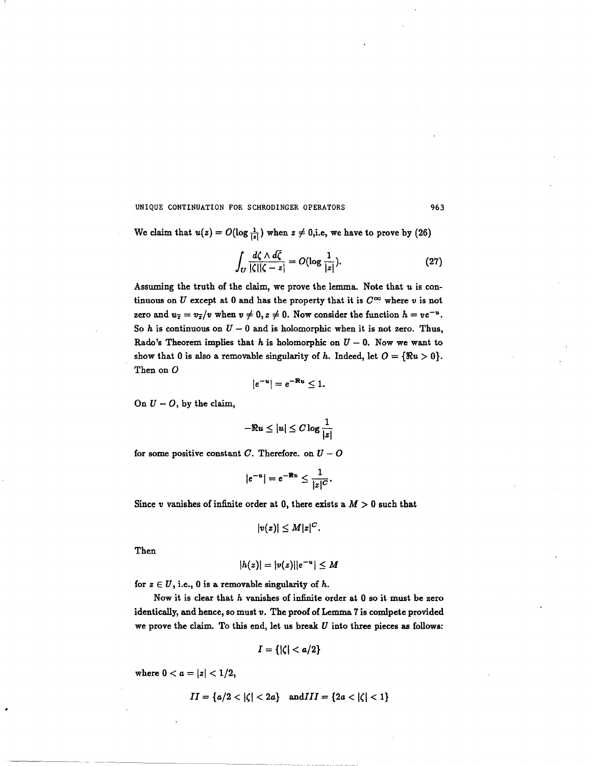We claim that  $u(z) = O(\log \frac{1}{|z|})$  when  $z \neq 0$ , i.e, we have to prove by (26)

$$
\int_{U} \frac{d\zeta \wedge d\overline{\zeta}}{|\zeta||\zeta - z|} = O(\log \frac{1}{|z|}).
$$
\n(27)

Assuming the truth of the claim, we prove the lemma. Note that  $u$  is continuous on U except at 0 and has the property that it is  $C^{\infty}$  where v is not zero and  $u_{\overline{z}} = v_{\overline{z}}/v$  when  $v \neq 0, z \neq 0$ . Now consider the function  $h = v e^{-u}$ . So h is continuous on  $U - 0$  and is holomorphic when it is not zero. Thus, Rado's Theorem implies that h is holomorphic on  $U - 0$ . Now we want to show that 0 is also a removable singularity of h. Indeed, let  $O = {\Re u > 0}$ . Then on O

$$
|e^{-u}|=e^{-\Re u}\leq 1.
$$

On  $U - O$ , by the claim,

$$
-\Re u \leq |u| \leq C \log \frac{1}{|z|}
$$

for some positive constant C. Therefore. on  $U - O$ 

$$
|e^{-u}|=e^{-\Re u}\leq \frac{1}{|z|^C}.
$$

Since v vanishes of infinite order at 0, there exists a  $M > 0$  such that

$$
|v(z)|\leq M|z|^C.
$$

Then

$$
|h(z)|=|v(z)||e^{-u}|\leq M
$$

for  $z \in U$ , i.e., 0 is a removable singularity of h.

Now it is clear that  $h$  vanishes of infinite order at  $0$  so it must be zero identically, and hence, so must v. The proof of Lemma <sup>7</sup> is comlpete provided we prove the claim. To this end, let us break  $U$  into three pieces as follows:

$$
I=\{|\zeta|
$$

where  $0 < a = |z| < 1/2$ ,

$$
II = \{a/2 < |\zeta| < 2a\} \quad \text{and} III = \{2a < |\zeta| < 1\}
$$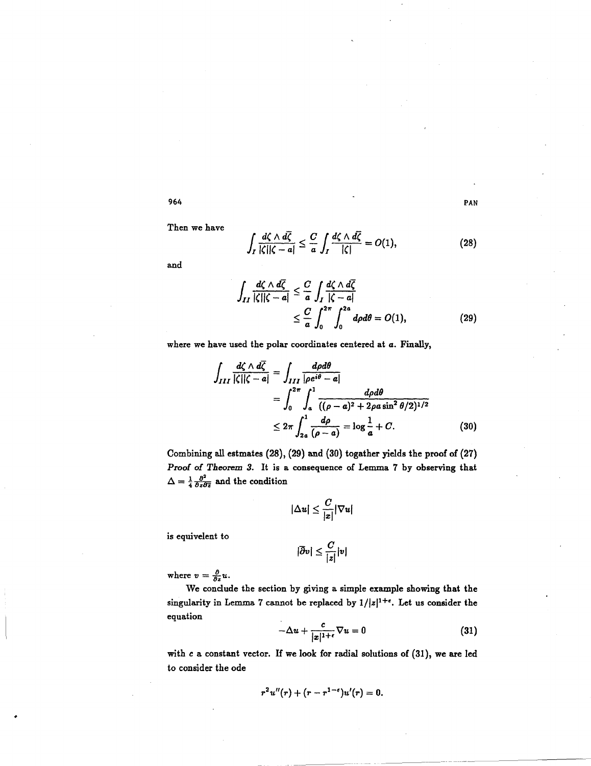Then we have

 $\frac{d\zeta \wedge d\zeta}{d\zeta} \leq \frac{C}{c} \int \frac{d\zeta \wedge d\zeta}{|\zeta|} =$  $|\zeta||\zeta - a| \leq \frac{\zeta}{a} \int_I \frac{|\zeta|}{|\zeta|} = O(1),$ (28)

and

$$
\int_{II} \frac{d\zeta \wedge d\overline{\zeta}}{|\zeta||\zeta - a|} \leq \frac{C}{a} \int_{I} \frac{d\zeta \wedge d\overline{\zeta}}{|\zeta - a|} \leq \frac{C}{a} \int_{0}^{2\pi} \int_{0}^{2a} d\rho d\theta = O(1),
$$
\n(29)

where we have used the polar coordinates centered at a. Finally,

$$
\int_{III} \frac{d\zeta \wedge d\overline{\zeta}}{|\zeta||\zeta - a|} = \int_{III} \frac{d\rho d\theta}{|\rho e^{i\theta} - a|}
$$
  
= 
$$
\int_0^{2\pi} \int_a^1 \frac{d\rho d\theta}{((\rho - a)^2 + 2\rho a \sin^2 \theta/2)^{1/2}}
$$
  

$$
\leq 2\pi \int_{2a}^1 \frac{d\rho}{(\rho - a)} = \log \frac{1}{a} + C.
$$
 (30)

Combining all estmates (28), (29) and (30) togather yields the proof of (27) Proof of Theorem 3. It is <sup>a</sup> consequence of Lemma <sup>7</sup> by observing that  $\Delta = \frac{1}{4} \frac{\partial^2}{\partial z \partial \bar{z}}$  and the condition

$$
|\Delta u| \leq \frac{C}{|x|} |\nabla u|
$$

is equivelent to

$$
|\overline{\partial} v| \leq \frac{C}{|z|}|v|
$$

where  $v = \frac{\partial}{\partial z}u$ .

We conclude the section by giving a simple example showing that the singularity in Lemma 7 cannot be replaced by  $1/|z|^{1+\epsilon}$ . Let us consider the equation

$$
-\Delta u + \frac{c}{|x|^{1+\epsilon}} \nabla u = 0 \tag{31}
$$

with c a constant vector. If we look for radial solutions of (31), we are led to consider the ode

$$
r^2u''(r) + (r - r^{1-\epsilon})u'(r) = 0.
$$